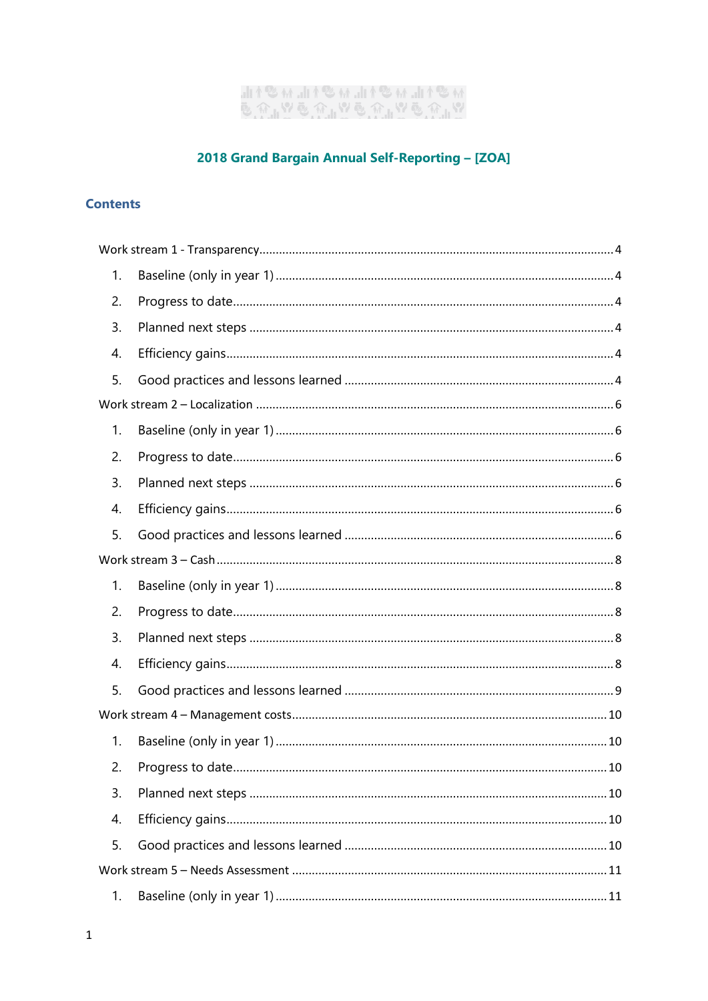# "<br>ଡ଼୲ଊୖଌ୰୲୲ଊୖଌ୰୲୲୷ଌଽ୲୲୷୶ଌଽ୲୲<br>୰୲୲ଊୖଌ୰୲୲ଊୖଌ୰୲୲ଊୖଌ୰

# 2018 Grand Bargain Annual Self-Reporting - [ZOA]

# **Contents**

| 1. |  |  |  |
|----|--|--|--|
| 2. |  |  |  |
| 3. |  |  |  |
| 4. |  |  |  |
| 5. |  |  |  |
|    |  |  |  |
| 1. |  |  |  |
| 2. |  |  |  |
| 3. |  |  |  |
| 4. |  |  |  |
| 5. |  |  |  |
|    |  |  |  |
| 1. |  |  |  |
| 2. |  |  |  |
| 3. |  |  |  |
| 4. |  |  |  |
| 5. |  |  |  |
|    |  |  |  |
| 1. |  |  |  |
| 2. |  |  |  |
| 3. |  |  |  |
| 4. |  |  |  |
| 5. |  |  |  |
|    |  |  |  |
|    |  |  |  |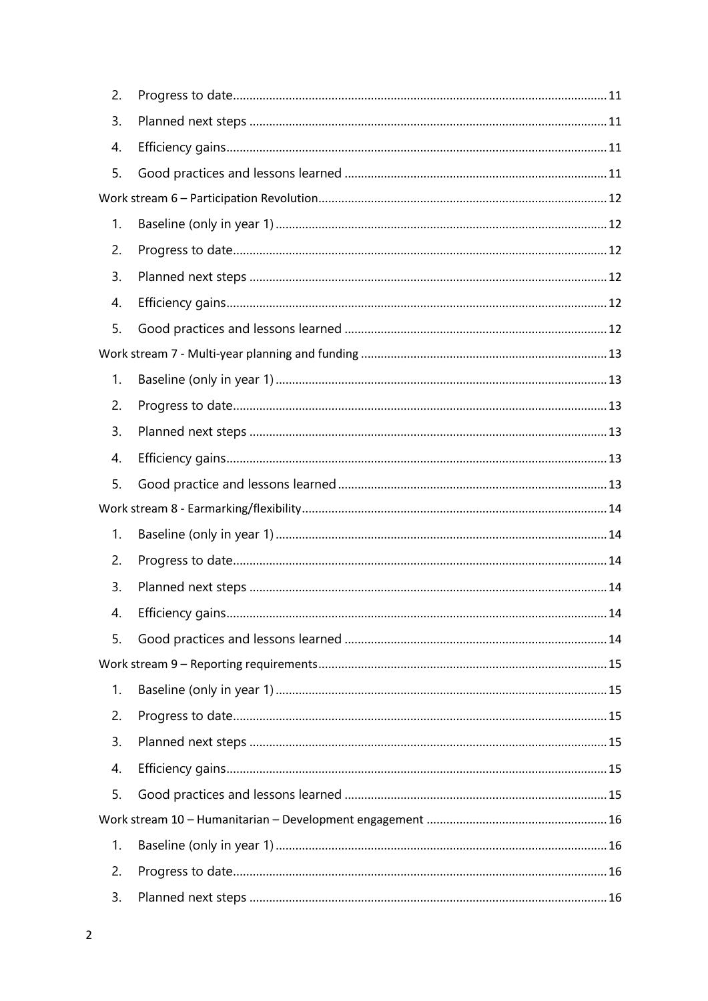| 2. |                  |    |
|----|------------------|----|
| 3. |                  |    |
| 4. |                  |    |
| 5. |                  |    |
|    |                  |    |
| 1. |                  |    |
| 2. |                  |    |
| 3. |                  |    |
| 4. |                  |    |
| 5. |                  |    |
|    |                  |    |
| 1. |                  |    |
| 2. |                  |    |
| 3. |                  |    |
| 4. |                  |    |
| 5. |                  |    |
|    |                  |    |
| 1. |                  |    |
| 2. |                  |    |
|    |                  |    |
| 3. |                  |    |
| 4. | Efficiency gains | 14 |
| 5. |                  |    |
|    |                  |    |
| 1. |                  |    |
| 2. |                  |    |
| 3. |                  |    |
| 4. |                  |    |
| 5. |                  |    |
|    |                  |    |
| 1. |                  |    |
| 2. |                  |    |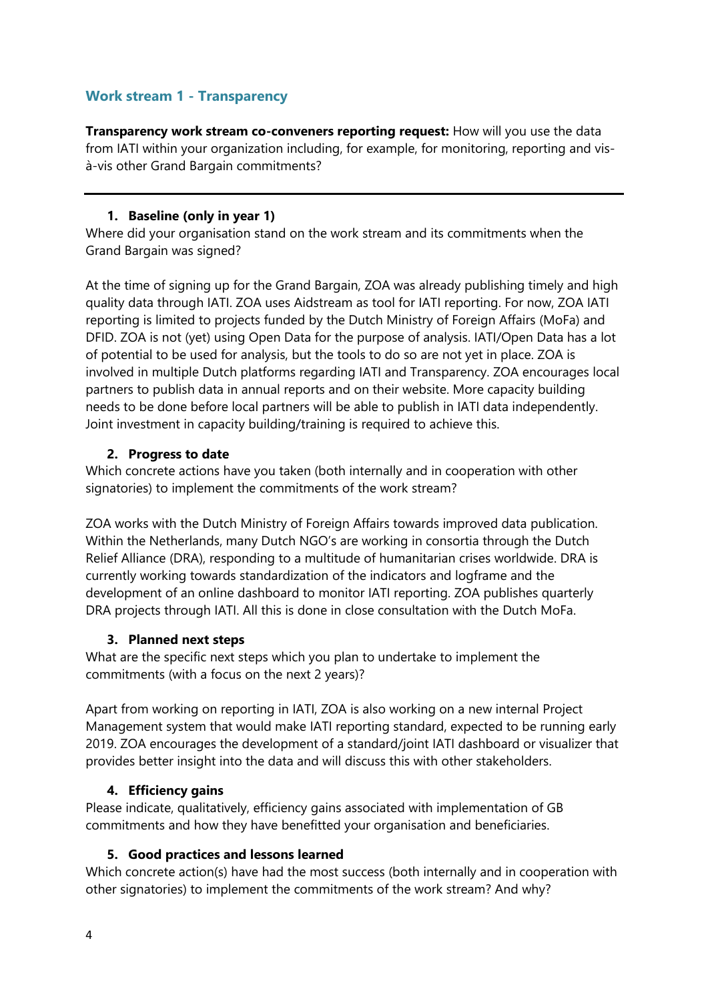# <span id="page-3-0"></span>**Work stream 1 - Transparency**

**Transparency work stream co-conveners reporting request:** How will you use the data from IATI within your organization including, for example, for monitoring, reporting and visà-vis other Grand Bargain commitments?

## **1. Baseline (only in year 1)**

<span id="page-3-1"></span>Where did your organisation stand on the work stream and its commitments when the Grand Bargain was signed?

At the time of signing up for the Grand Bargain, ZOA was already publishing timely and high quality data through IATI. ZOA uses Aidstream as tool for IATI reporting. For now, ZOA IATI reporting is limited to projects funded by the Dutch Ministry of Foreign Affairs (MoFa) and DFID. ZOA is not (yet) using Open Data for the purpose of analysis. IATI/Open Data has a lot of potential to be used for analysis, but the tools to do so are not yet in place. ZOA is involved in multiple Dutch platforms regarding IATI and Transparency. ZOA encourages local partners to publish data in annual reports and on their website. More capacity building needs to be done before local partners will be able to publish in IATI data independently. Joint investment in capacity building/training is required to achieve this.

## <span id="page-3-2"></span>**2. Progress to date**

Which concrete actions have you taken (both internally and in cooperation with other signatories) to implement the commitments of the work stream?

ZOA works with the Dutch Ministry of Foreign Affairs towards improved data publication. Within the Netherlands, many Dutch NGO's are working in consortia through the Dutch Relief Alliance (DRA), responding to a multitude of humanitarian crises worldwide. DRA is currently working towards standardization of the indicators and logframe and the development of an online dashboard to monitor IATI reporting. ZOA publishes quarterly DRA projects through IATI. All this is done in close consultation with the Dutch MoFa.

# <span id="page-3-3"></span>**3. Planned next steps**

What are the specific next steps which you plan to undertake to implement the commitments (with a focus on the next 2 years)?

Apart from working on reporting in IATI, ZOA is also working on a new internal Project Management system that would make IATI reporting standard, expected to be running early 2019. ZOA encourages the development of a standard/joint IATI dashboard or visualizer that provides better insight into the data and will discuss this with other stakeholders.

# <span id="page-3-4"></span>**4. Efficiency gains**

Please indicate, qualitatively, efficiency gains associated with implementation of GB commitments and how they have benefitted your organisation and beneficiaries.

## <span id="page-3-5"></span>**5. Good practices and lessons learned**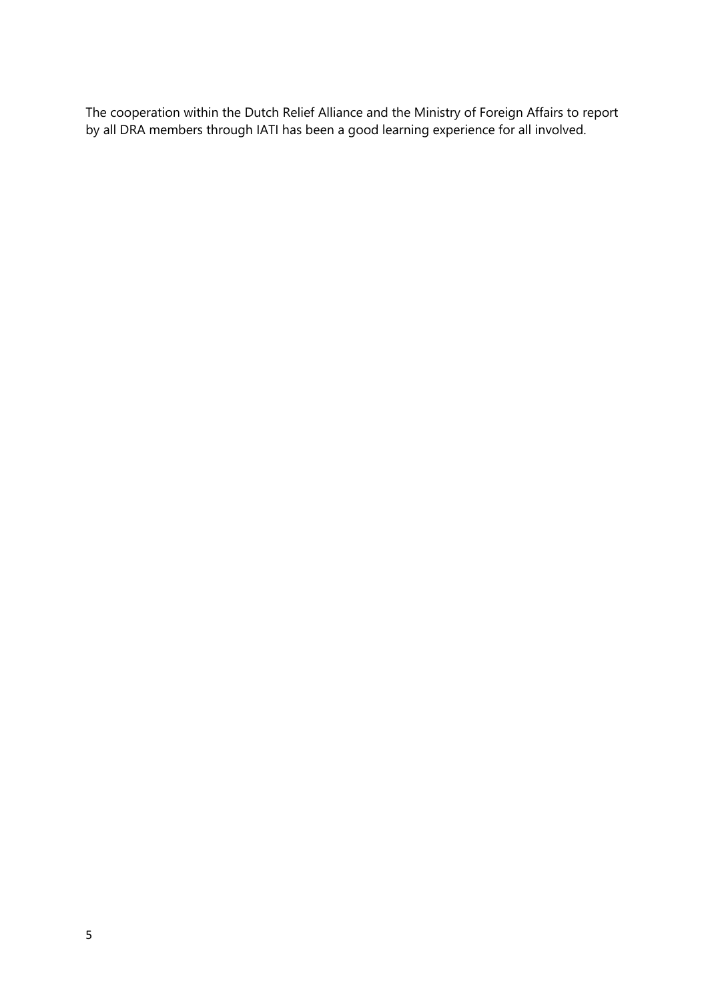The cooperation within the Dutch Relief Alliance and the Ministry of Foreign Affairs to report by all DRA members through IATI has been a good learning experience for all involved.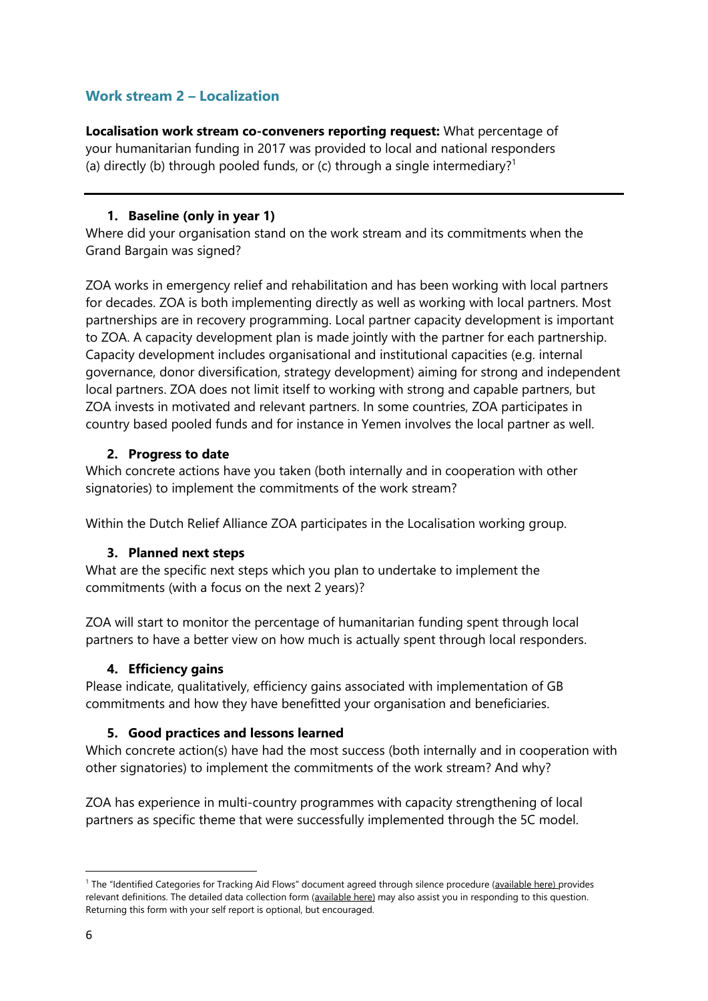# <span id="page-5-0"></span>**Work stream 2 – Localization**

**Localisation work stream co-conveners reporting request:** What percentage of your humanitarian funding in 2017 was provided to local and national responders (a) directly (b) through pooled funds, or (c) through a single intermediary?<sup>1</sup>

## **1. Baseline (only in year 1)**

<span id="page-5-1"></span>Where did your organisation stand on the work stream and its commitments when the Grand Bargain was signed?

ZOA works in emergency relief and rehabilitation and has been working with local partners for decades. ZOA is both implementing directly as well as working with local partners. Most partnerships are in recovery programming. Local partner capacity development is important to ZOA. A capacity development plan is made jointly with the partner for each partnership. Capacity development includes organisational and institutional capacities (e.g. internal governance, donor diversification, strategy development) aiming for strong and independent local partners. ZOA does not limit itself to working with strong and capable partners, but ZOA invests in motivated and relevant partners. In some countries, ZOA participates in country based pooled funds and for instance in Yemen involves the local partner as well.

## <span id="page-5-2"></span>**2. Progress to date**

Which concrete actions have you taken (both internally and in cooperation with other signatories) to implement the commitments of the work stream?

<span id="page-5-3"></span>Within the Dutch Relief Alliance ZOA participates in the Localisation working group.

## **3. Planned next steps**

What are the specific next steps which you plan to undertake to implement the commitments (with a focus on the next 2 years)?

ZOA will start to monitor the percentage of humanitarian funding spent through local partners to have a better view on how much is actually spent through local responders.

## <span id="page-5-4"></span>**4. Efficiency gains**

Please indicate, qualitatively, efficiency gains associated with implementation of GB commitments and how they have benefitted your organisation and beneficiaries.

## <span id="page-5-5"></span>**5. Good practices and lessons learned**

Which concrete action(s) have had the most success (both internally and in cooperation with other signatories) to implement the commitments of the work stream? And why?

ZOA has experience in multi-country programmes with capacity strengthening of local partners as specific theme that were successfully implemented through the 5C model.

1

<sup>&</sup>lt;sup>1</sup> The "Identified Categories for Tracking Aid Flows" document agreed through silence procedure ([available here\)](https://interagencystandingcommittee.org/grand-bargain-hosted-iasc/documents/categories-tracking-funding-flows) provides relevant definitions. The detailed data collection form [\(available here\)](https://interagencystandingcommittee.org/grand-bargain-hosted-iasc/documents/localization-data-collection-form) may also assist you in responding to this question. Returning this form with your self report is optional, but encouraged.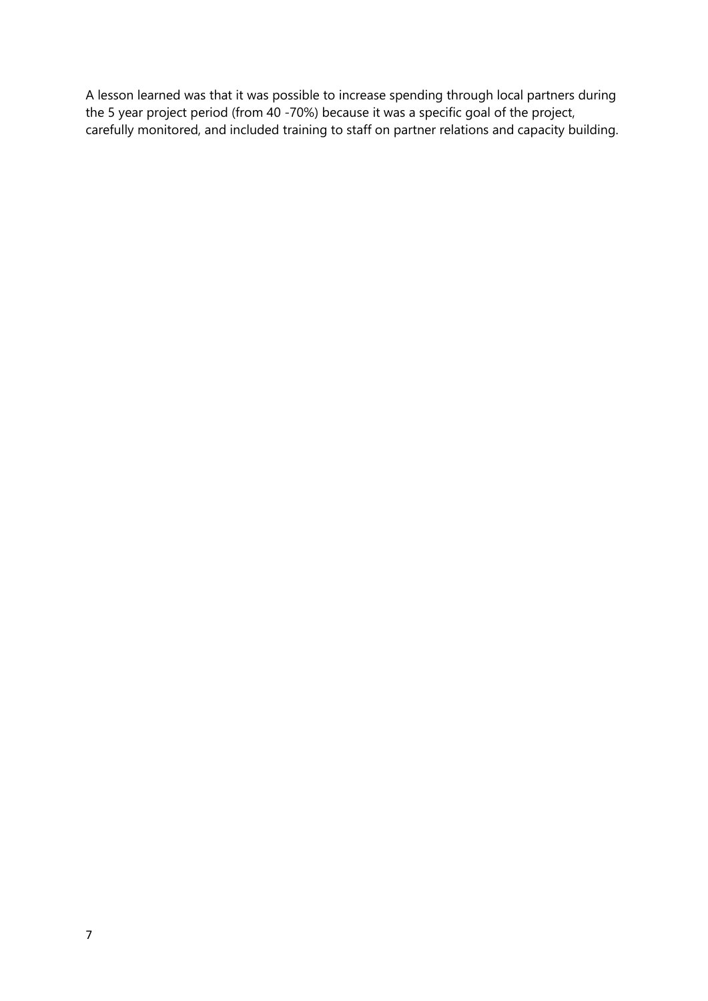A lesson learned was that it was possible to increase spending through local partners during the 5 year project period (from 40 -70%) because it was a specific goal of the project, carefully monitored, and included training to staff on partner relations and capacity building.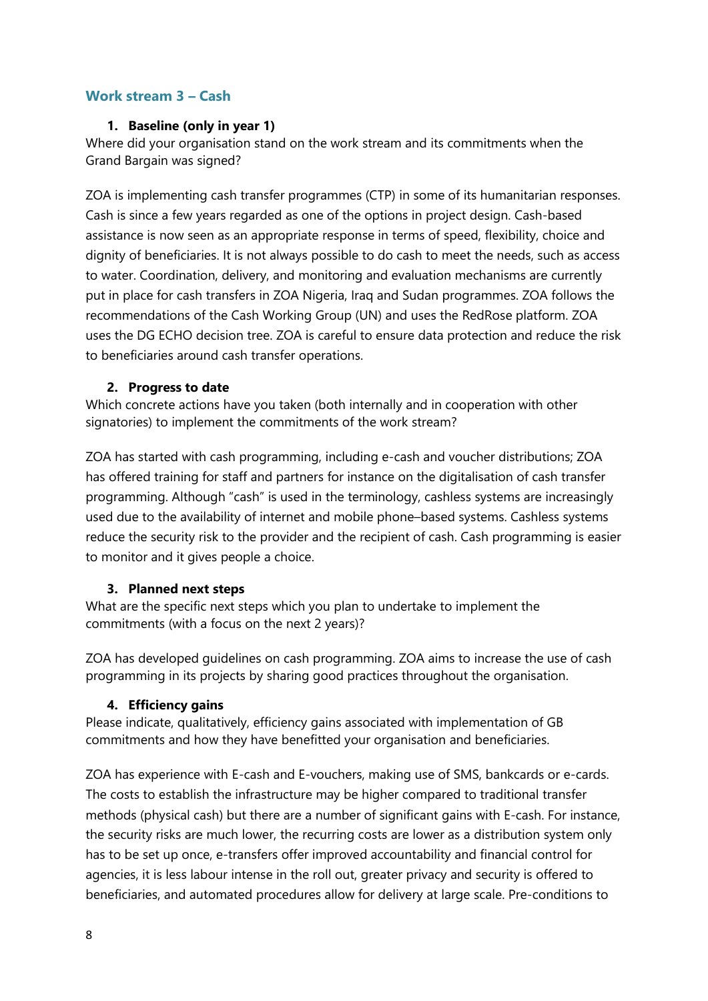# <span id="page-7-1"></span><span id="page-7-0"></span>**Work stream 3 – Cash**

## **1. Baseline (only in year 1)**

Where did your organisation stand on the work stream and its commitments when the Grand Bargain was signed?

ZOA is implementing cash transfer programmes (CTP) in some of its humanitarian responses. Cash is since a few years regarded as one of the options in project design. Cash-based assistance is now seen as an appropriate response in terms of speed, flexibility, choice and dignity of beneficiaries. It is not always possible to do cash to meet the needs, such as access to water. Coordination, delivery, and monitoring and evaluation mechanisms are currently put in place for cash transfers in ZOA Nigeria, Iraq and Sudan programmes. ZOA follows the recommendations of the Cash Working Group (UN) and uses the RedRose platform. ZOA uses the DG ECHO decision tree. ZOA is careful to ensure data protection and reduce the risk to beneficiaries around cash transfer operations.

# <span id="page-7-2"></span>**2. Progress to date**

Which concrete actions have you taken (both internally and in cooperation with other signatories) to implement the commitments of the work stream?

ZOA has started with cash programming, including e-cash and voucher distributions; ZOA has offered training for staff and partners for instance on the digitalisation of cash transfer programming. Although "cash" is used in the terminology, cashless systems are increasingly used due to the availability of internet and mobile phone–based systems. Cashless systems reduce the security risk to the provider and the recipient of cash. Cash programming is easier to monitor and it gives people a choice.

## <span id="page-7-3"></span>**3. Planned next steps**

What are the specific next steps which you plan to undertake to implement the commitments (with a focus on the next 2 years)?

ZOA has developed guidelines on cash programming. ZOA aims to increase the use of cash programming in its projects by sharing good practices throughout the organisation.

## <span id="page-7-4"></span>**4. Efficiency gains**

Please indicate, qualitatively, efficiency gains associated with implementation of GB commitments and how they have benefitted your organisation and beneficiaries.

ZOA has experience with E-cash and E-vouchers, making use of SMS, bankcards or e-cards. The costs to establish the infrastructure may be higher compared to traditional transfer methods (physical cash) but there are a number of significant gains with E-cash. For instance, the security risks are much lower, the recurring costs are lower as a distribution system only has to be set up once, e-transfers offer improved accountability and financial control for agencies, it is less labour intense in the roll out, greater privacy and security is offered to beneficiaries, and automated procedures allow for delivery at large scale. Pre-conditions to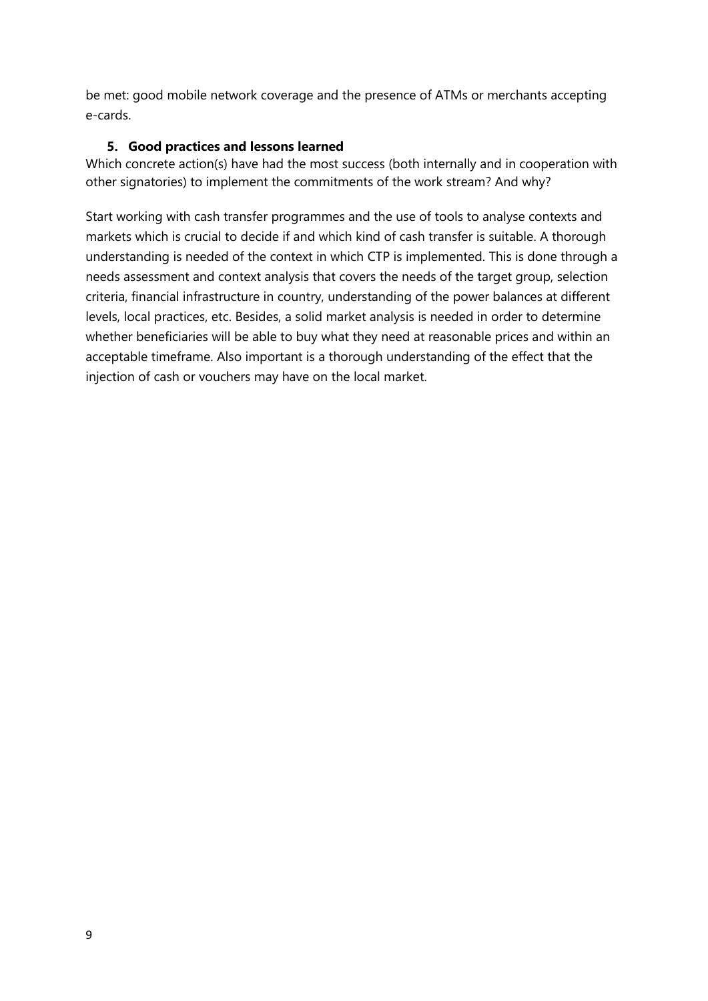be met: good mobile network coverage and the presence of ATMs or merchants accepting e-cards.

#### <span id="page-8-0"></span>**5. Good practices and lessons learned**

Which concrete action(s) have had the most success (both internally and in cooperation with other signatories) to implement the commitments of the work stream? And why?

Start working with cash transfer programmes and the use of tools to analyse contexts and markets which is crucial to decide if and which kind of cash transfer is suitable. A thorough understanding is needed of the context in which CTP is implemented. This is done through a needs assessment and context analysis that covers the needs of the target group, selection criteria, financial infrastructure in country, understanding of the power balances at different levels, local practices, etc. Besides, a solid market analysis is needed in order to determine whether beneficiaries will be able to buy what they need at reasonable prices and within an acceptable timeframe. Also important is a thorough understanding of the effect that the injection of cash or vouchers may have on the local market.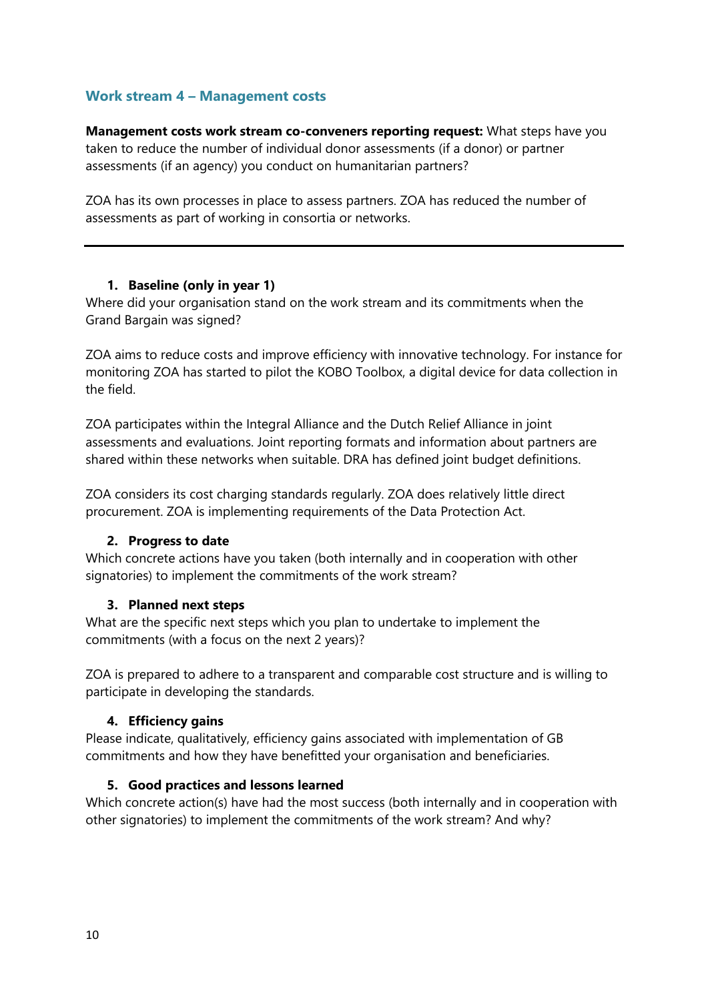# <span id="page-9-0"></span>**Work stream 4 – Management costs**

**Management costs work stream co-conveners reporting request:** What steps have you taken to reduce the number of individual donor assessments (if a donor) or partner assessments (if an agency) you conduct on humanitarian partners?

ZOA has its own processes in place to assess partners. ZOA has reduced the number of assessments as part of working in consortia or networks.

#### <span id="page-9-1"></span>**1. Baseline (only in year 1)**

Where did your organisation stand on the work stream and its commitments when the Grand Bargain was signed?

ZOA aims to reduce costs and improve efficiency with innovative technology. For instance for monitoring ZOA has started to pilot the KOBO Toolbox, a digital device for data collection in the field.

ZOA participates within the Integral Alliance and the Dutch Relief Alliance in joint assessments and evaluations. Joint reporting formats and information about partners are shared within these networks when suitable. DRA has defined joint budget definitions.

ZOA considers its cost charging standards regularly. ZOA does relatively little direct procurement. ZOA is implementing requirements of the Data Protection Act.

#### <span id="page-9-2"></span>**2. Progress to date**

Which concrete actions have you taken (both internally and in cooperation with other signatories) to implement the commitments of the work stream?

#### <span id="page-9-3"></span>**3. Planned next steps**

What are the specific next steps which you plan to undertake to implement the commitments (with a focus on the next 2 years)?

ZOA is prepared to adhere to a transparent and comparable cost structure and is willing to participate in developing the standards.

## <span id="page-9-4"></span>**4. Efficiency gains**

Please indicate, qualitatively, efficiency gains associated with implementation of GB commitments and how they have benefitted your organisation and beneficiaries.

#### <span id="page-9-5"></span>**5. Good practices and lessons learned**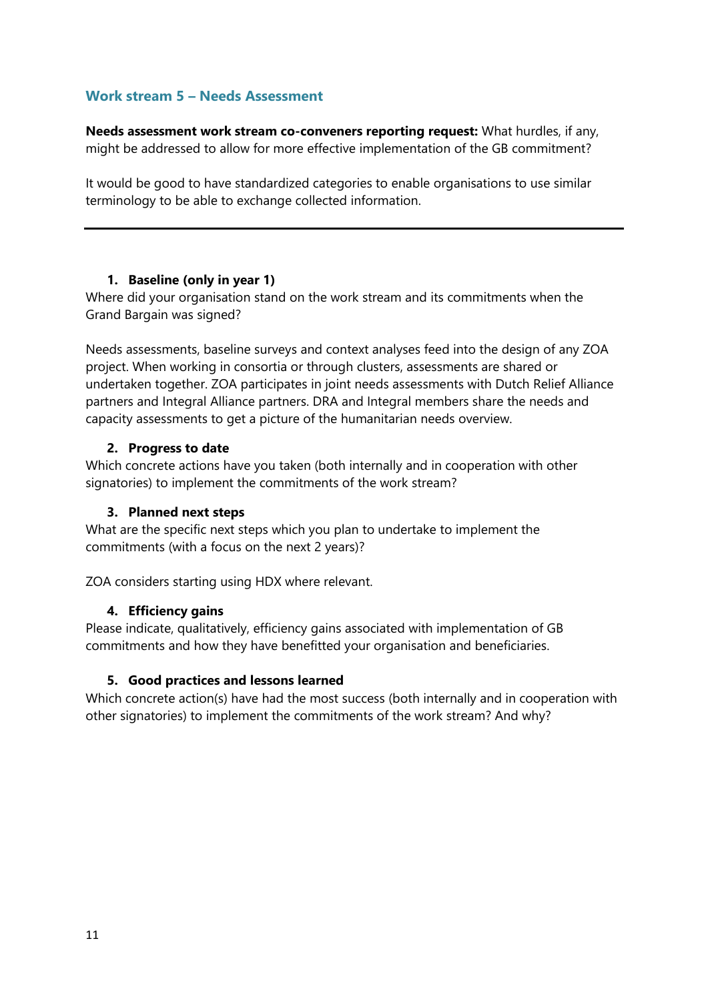# <span id="page-10-0"></span>**Work stream 5 – Needs Assessment**

**Needs assessment work stream co-conveners reporting request:** What hurdles, if any, might be addressed to allow for more effective implementation of the GB commitment?

It would be good to have standardized categories to enable organisations to use similar terminology to be able to exchange collected information.

#### <span id="page-10-1"></span>**1. Baseline (only in year 1)**

Where did your organisation stand on the work stream and its commitments when the Grand Bargain was signed?

Needs assessments, baseline surveys and context analyses feed into the design of any ZOA project. When working in consortia or through clusters, assessments are shared or undertaken together. ZOA participates in joint needs assessments with Dutch Relief Alliance partners and Integral Alliance partners. DRA and Integral members share the needs and capacity assessments to get a picture of the humanitarian needs overview.

#### <span id="page-10-2"></span>**2. Progress to date**

Which concrete actions have you taken (both internally and in cooperation with other signatories) to implement the commitments of the work stream?

## <span id="page-10-3"></span>**3. Planned next steps**

What are the specific next steps which you plan to undertake to implement the commitments (with a focus on the next 2 years)?

<span id="page-10-4"></span>ZOA considers starting using HDX where relevant.

#### **4. Efficiency gains**

Please indicate, qualitatively, efficiency gains associated with implementation of GB commitments and how they have benefitted your organisation and beneficiaries.

#### <span id="page-10-5"></span>**5. Good practices and lessons learned**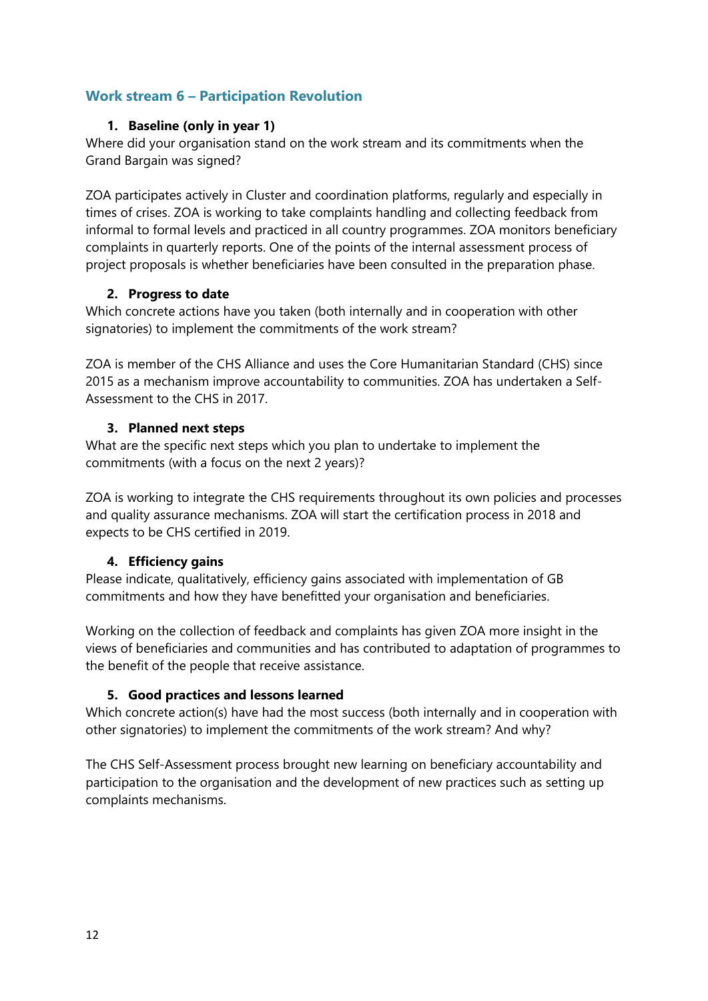# <span id="page-11-1"></span><span id="page-11-0"></span>**Work stream 6 – Participation Revolution**

# **1. Baseline (only in year 1)**

Where did your organisation stand on the work stream and its commitments when the Grand Bargain was signed?

ZOA participates actively in Cluster and coordination platforms, regularly and especially in times of crises. ZOA is working to take complaints handling and collecting feedback from informal to formal levels and practiced in all country programmes. ZOA monitors beneficiary complaints in quarterly reports. One of the points of the internal assessment process of project proposals is whether beneficiaries have been consulted in the preparation phase.

## <span id="page-11-2"></span>**2. Progress to date**

Which concrete actions have you taken (both internally and in cooperation with other signatories) to implement the commitments of the work stream?

ZOA is member of the CHS Alliance and uses the Core Humanitarian Standard (CHS) since 2015 as a mechanism improve accountability to communities. ZOA has undertaken a Self-Assessment to the CHS in 2017.

# <span id="page-11-3"></span>**3. Planned next steps**

What are the specific next steps which you plan to undertake to implement the commitments (with a focus on the next 2 years)?

ZOA is working to integrate the CHS requirements throughout its own policies and processes and quality assurance mechanisms. ZOA will start the certification process in 2018 and expects to be CHS certified in 2019.

# <span id="page-11-4"></span>**4. Efficiency gains**

Please indicate, qualitatively, efficiency gains associated with implementation of GB commitments and how they have benefitted your organisation and beneficiaries.

Working on the collection of feedback and complaints has given ZOA more insight in the views of beneficiaries and communities and has contributed to adaptation of programmes to the benefit of the people that receive assistance.

# <span id="page-11-5"></span>**5. Good practices and lessons learned**

Which concrete action(s) have had the most success (both internally and in cooperation with other signatories) to implement the commitments of the work stream? And why?

The CHS Self-Assessment process brought new learning on beneficiary accountability and participation to the organisation and the development of new practices such as setting up complaints mechanisms.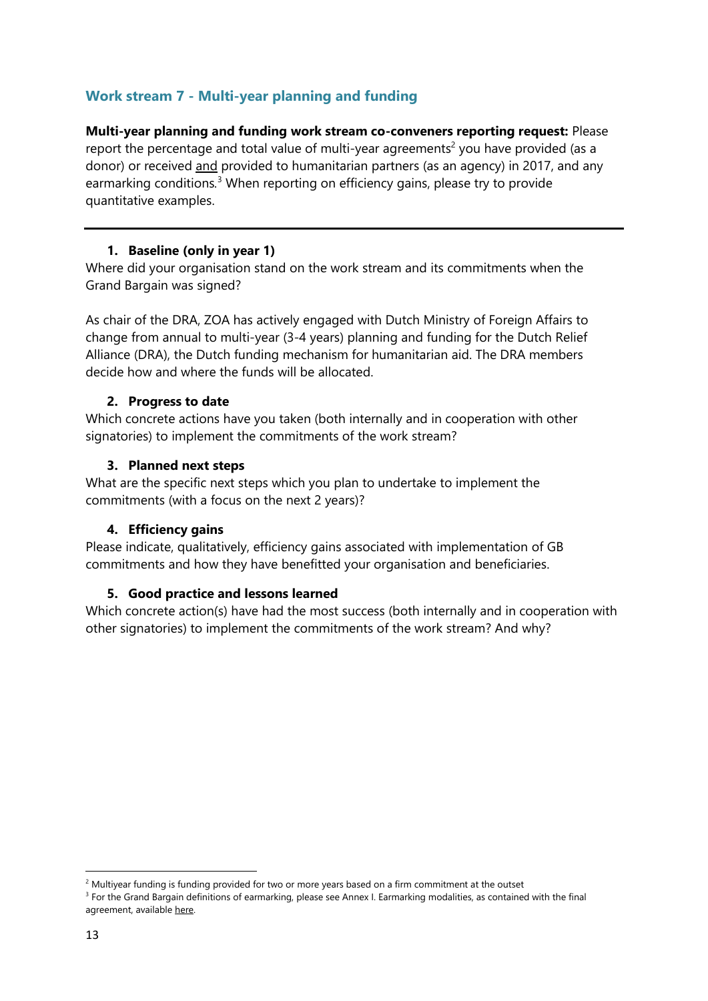# <span id="page-12-0"></span>**Work stream 7 - Multi-year planning and funding**

**Multi-year planning and funding work stream co-conveners reporting request:** Please report the percentage and total value of multi-year agreements<sup>2</sup> you have provided (as a donor) or received and provided to humanitarian partners (as an agency) in 2017, and any earmarking conditions*.* <sup>3</sup> When reporting on efficiency gains, please try to provide quantitative examples.

# **1. Baseline (only in year 1)**

<span id="page-12-1"></span>Where did your organisation stand on the work stream and its commitments when the Grand Bargain was signed?

As chair of the DRA, ZOA has actively engaged with Dutch Ministry of Foreign Affairs to change from annual to multi-year (3-4 years) planning and funding for the Dutch Relief Alliance (DRA), the Dutch funding mechanism for humanitarian aid. The DRA members decide how and where the funds will be allocated.

## <span id="page-12-2"></span>**2. Progress to date**

Which concrete actions have you taken (both internally and in cooperation with other signatories) to implement the commitments of the work stream?

## <span id="page-12-3"></span>**3. Planned next steps**

What are the specific next steps which you plan to undertake to implement the commitments (with a focus on the next 2 years)?

## <span id="page-12-4"></span>**4. Efficiency gains**

Please indicate, qualitatively, efficiency gains associated with implementation of GB commitments and how they have benefitted your organisation and beneficiaries.

# <span id="page-12-5"></span>**5. Good practice and lessons learned**

Which concrete action(s) have had the most success (both internally and in cooperation with other signatories) to implement the commitments of the work stream? And why?

1

 $2$  Multiyear funding is funding provided for two or more years based on a firm commitment at the outset

<sup>&</sup>lt;sup>3</sup> For the Grand Bargain definitions of earmarking, please see Annex I. Earmarking modalities, as contained with the final agreement, available [here.](https://interagencystandingcommittee.org/grand-bargain-hosted-iasc/documents/grand-bargain-shared-commitment-better-serve-people-need)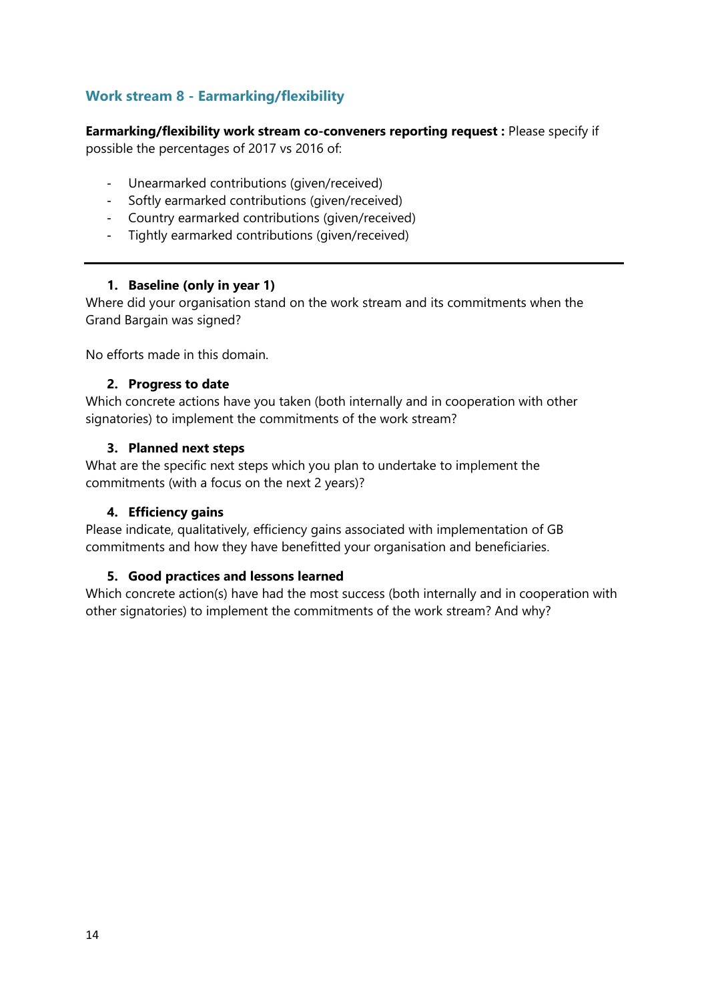# <span id="page-13-0"></span>**Work stream 8 - Earmarking/flexibility**

**Earmarking/flexibility work stream co-conveners reporting request :** Please specify if possible the percentages of 2017 vs 2016 of:

- Unearmarked contributions (given/received)
- Softly earmarked contributions (given/received)
- Country earmarked contributions (given/received)
- Tightly earmarked contributions (given/received)

#### **1. Baseline (only in year 1)**

<span id="page-13-1"></span>Where did your organisation stand on the work stream and its commitments when the Grand Bargain was signed?

<span id="page-13-2"></span>No efforts made in this domain.

#### **2. Progress to date**

Which concrete actions have you taken (both internally and in cooperation with other signatories) to implement the commitments of the work stream?

#### <span id="page-13-3"></span>**3. Planned next steps**

What are the specific next steps which you plan to undertake to implement the commitments (with a focus on the next 2 years)?

## <span id="page-13-4"></span>**4. Efficiency gains**

Please indicate, qualitatively, efficiency gains associated with implementation of GB commitments and how they have benefitted your organisation and beneficiaries.

## <span id="page-13-5"></span>**5. Good practices and lessons learned**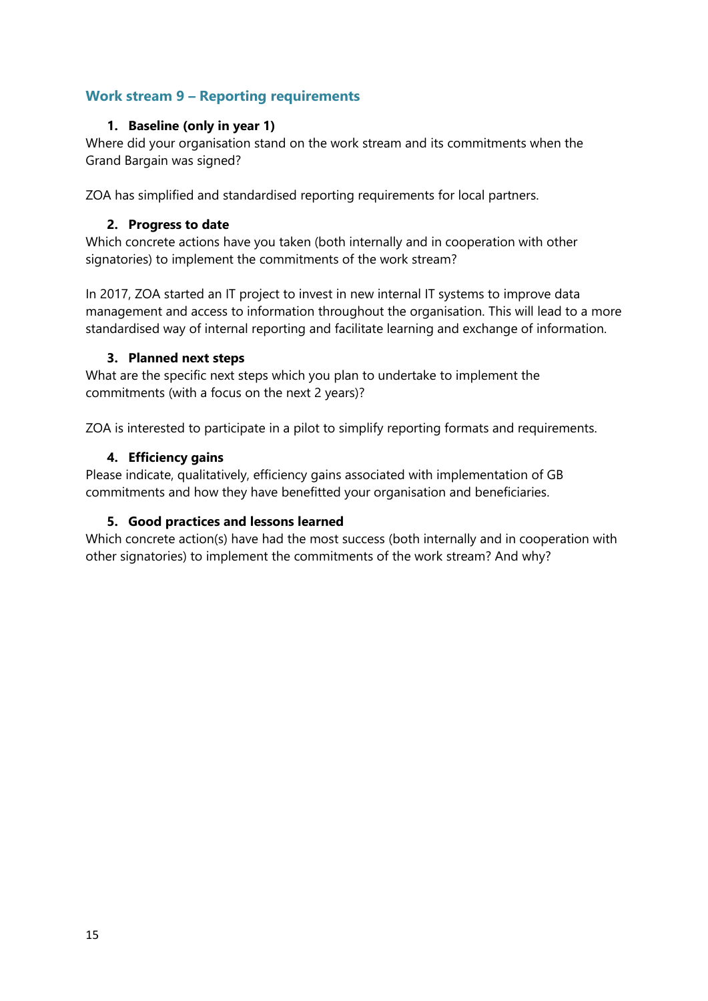# <span id="page-14-1"></span><span id="page-14-0"></span>**Work stream 9 – Reporting requirements**

## **1. Baseline (only in year 1)**

Where did your organisation stand on the work stream and its commitments when the Grand Bargain was signed?

<span id="page-14-2"></span>ZOA has simplified and standardised reporting requirements for local partners.

#### **2. Progress to date**

Which concrete actions have you taken (both internally and in cooperation with other signatories) to implement the commitments of the work stream?

In 2017, ZOA started an IT project to invest in new internal IT systems to improve data management and access to information throughout the organisation. This will lead to a more standardised way of internal reporting and facilitate learning and exchange of information.

#### <span id="page-14-3"></span>**3. Planned next steps**

What are the specific next steps which you plan to undertake to implement the commitments (with a focus on the next 2 years)?

<span id="page-14-4"></span>ZOA is interested to participate in a pilot to simplify reporting formats and requirements.

#### **4. Efficiency gains**

Please indicate, qualitatively, efficiency gains associated with implementation of GB commitments and how they have benefitted your organisation and beneficiaries.

#### <span id="page-14-5"></span>**5. Good practices and lessons learned**